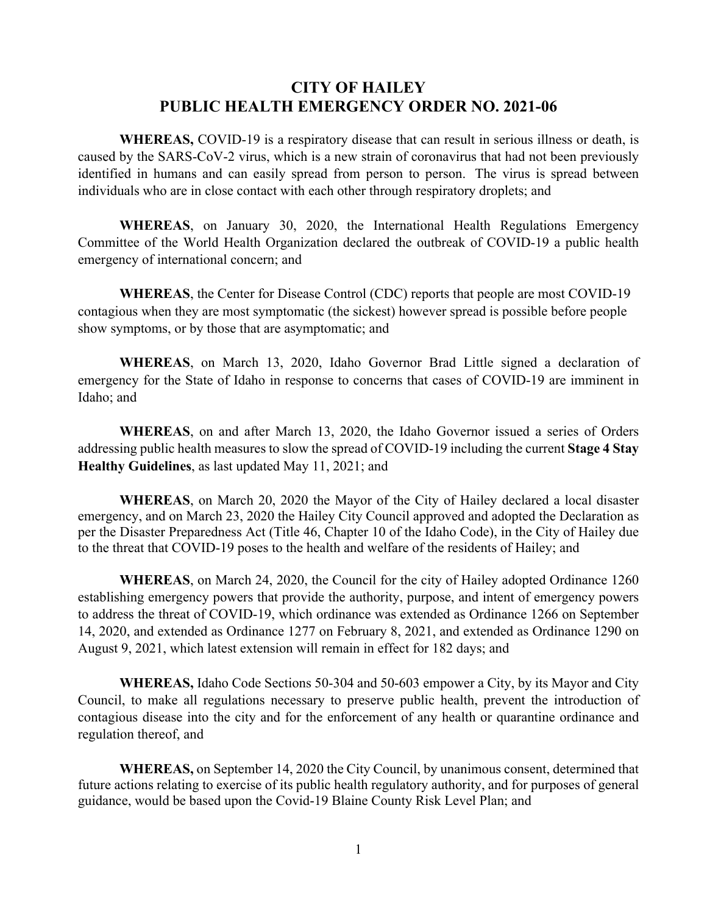## **CITY OF HAILEY PUBLIC HEALTH EMERGENCY ORDER NO. 2021-06**

**WHEREAS,** COVID-19 is a respiratory disease that can result in serious illness or death, is caused by the SARS-CoV-2 virus, which is a new strain of coronavirus that had not been previously identified in humans and can easily spread from person to person. The virus is spread between individuals who are in close contact with each other through respiratory droplets; and

**WHEREAS**, on January 30, 2020, the International Health Regulations Emergency Committee of the World Health Organization declared the outbreak of COVID-19 a public health emergency of international concern; and

**WHEREAS**, the Center for Disease Control (CDC) reports that people are most COVID-19 contagious when they are most symptomatic (the sickest) however spread is possible before people show symptoms, or by those that are asymptomatic; and

**WHEREAS**, on March 13, 2020, Idaho Governor Brad Little signed a declaration of emergency for the State of Idaho in response to concerns that cases of COVID-19 are imminent in Idaho; and

**WHEREAS**, on and after March 13, 2020, the Idaho Governor issued a series of Orders addressing public health measures to slow the spread of COVID-19 including the current **Stage 4 Stay Healthy Guidelines**, as last updated May 11, 2021; and

**WHEREAS**, on March 20, 2020 the Mayor of the City of Hailey declared a local disaster emergency, and on March 23, 2020 the Hailey City Council approved and adopted the Declaration as per the Disaster Preparedness Act (Title 46, Chapter 10 of the Idaho Code), in the City of Hailey due to the threat that COVID-19 poses to the health and welfare of the residents of Hailey; and

**WHEREAS**, on March 24, 2020, the Council for the city of Hailey adopted Ordinance 1260 establishing emergency powers that provide the authority, purpose, and intent of emergency powers to address the threat of COVID-19, which ordinance was extended as Ordinance 1266 on September 14, 2020, and extended as Ordinance 1277 on February 8, 2021, and extended as Ordinance 1290 on August 9, 2021, which latest extension will remain in effect for 182 days; and

**WHEREAS,** Idaho Code Sections 50-304 and 50-603 empower a City, by its Mayor and City Council, to make all regulations necessary to preserve public health, prevent the introduction of contagious disease into the city and for the enforcement of any health or quarantine ordinance and regulation thereof, and

**WHEREAS,** on September 14, 2020 the City Council, by unanimous consent, determined that future actions relating to exercise of its public health regulatory authority, and for purposes of general guidance, would be based upon the Covid-19 Blaine County Risk Level Plan; and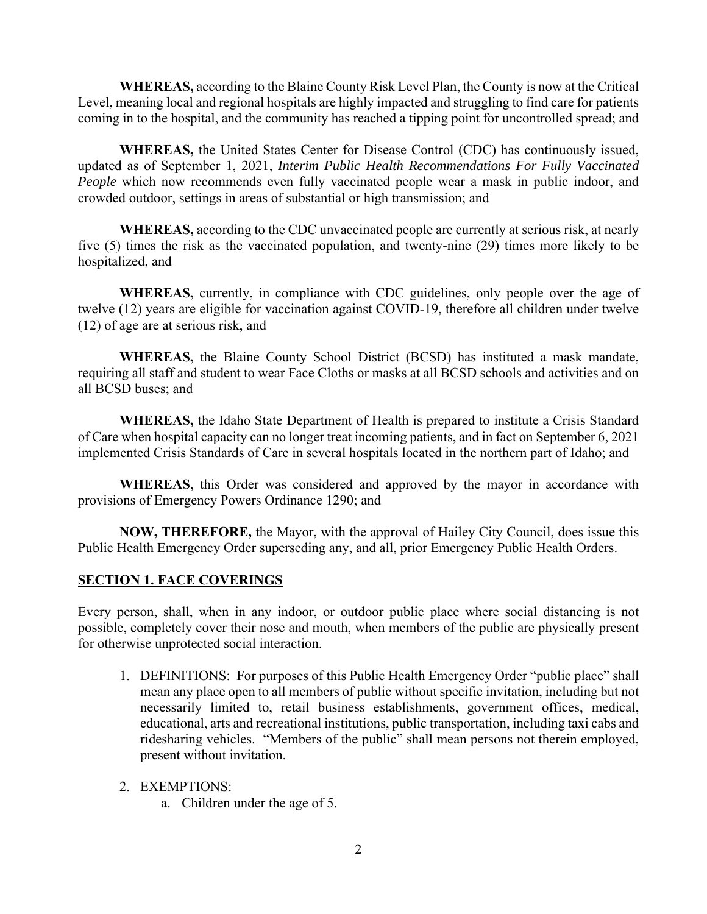**WHEREAS,** according to the Blaine County Risk Level Plan, the County is now at the Critical Level, meaning local and regional hospitals are highly impacted and struggling to find care for patients coming in to the hospital, and the community has reached a tipping point for uncontrolled spread; and

**WHEREAS,** the United States Center for Disease Control (CDC) has continuously issued, updated as of September 1, 2021, *Interim Public Health Recommendations For Fully Vaccinated People* which now recommends even fully vaccinated people wear a mask in public indoor, and crowded outdoor, settings in areas of substantial or high transmission; and

**WHEREAS,** according to the CDC unvaccinated people are currently at serious risk, at nearly five (5) times the risk as the vaccinated population, and twenty-nine (29) times more likely to be hospitalized, and

**WHEREAS,** currently, in compliance with CDC guidelines, only people over the age of twelve (12) years are eligible for vaccination against COVID-19, therefore all children under twelve (12) of age are at serious risk, and

**WHEREAS,** the Blaine County School District (BCSD) has instituted a mask mandate, requiring all staff and student to wear Face Cloths or masks at all BCSD schools and activities and on all BCSD buses; and

**WHEREAS,** the Idaho State Department of Health is prepared to institute a Crisis Standard of Care when hospital capacity can no longer treat incoming patients, and in fact on September 6, 2021 implemented Crisis Standards of Care in several hospitals located in the northern part of Idaho; and

**WHEREAS**, this Order was considered and approved by the mayor in accordance with provisions of Emergency Powers Ordinance 1290; and

**NOW, THEREFORE,** the Mayor, with the approval of Hailey City Council, does issue this Public Health Emergency Order superseding any, and all, prior Emergency Public Health Orders.

## **SECTION 1. FACE COVERINGS**

Every person, shall, when in any indoor, or outdoor public place where social distancing is not possible, completely cover their nose and mouth, when members of the public are physically present for otherwise unprotected social interaction.

- 1. DEFINITIONS: For purposes of this Public Health Emergency Order "public place" shall mean any place open to all members of public without specific invitation, including but not necessarily limited to, retail business establishments, government offices, medical, educational, arts and recreational institutions, public transportation, including taxi cabs and ridesharing vehicles. "Members of the public" shall mean persons not therein employed, present without invitation.
- 2. EXEMPTIONS:
	- a. Children under the age of 5.